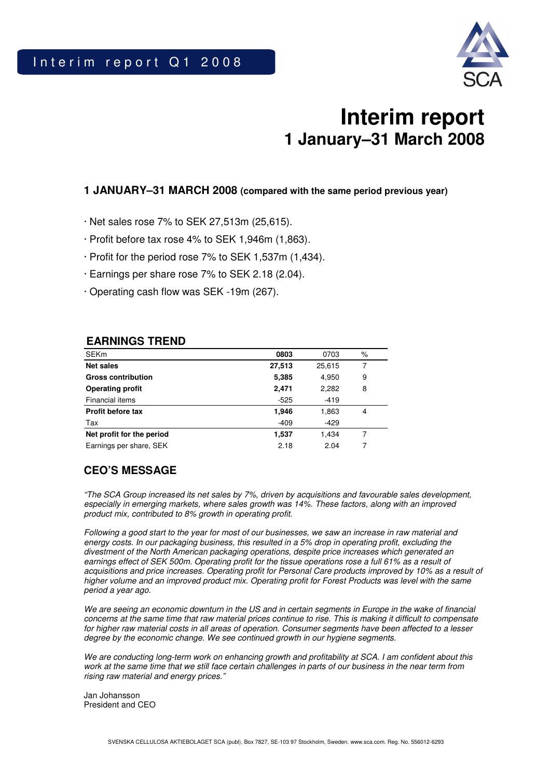

# **Interim report 1 January–31 March 2008**

### **1 JANUARY–31 MARCH 2008 (compared with the same period previous year)**

- · Net sales rose 7% to SEK 27,513m (25,615).
- · Profit before tax rose 4% to SEK 1,946m (1,863).
- · Profit for the period rose 7% to SEK 1,537m (1,434).
- · Earnings per share rose 7% to SEK 2.18 (2.04).
- · Operating cash flow was SEK -19m (267).

### **EARNINGS TREND**

| <b>SEKm</b>               | 0803   | 0703   | $\%$ |
|---------------------------|--------|--------|------|
| Net sales                 | 27,513 | 25,615 |      |
| <b>Gross contribution</b> | 5,385  | 4,950  | 9    |
| <b>Operating profit</b>   | 2,471  | 2,282  | 8    |
| Financial items           | $-525$ | $-419$ |      |
| <b>Profit before tax</b>  | 1,946  | 1,863  | 4    |
| Tax                       | $-409$ | $-429$ |      |
| Net profit for the period | 1,537  | 1,434  |      |
| Earnings per share, SEK   | 2.18   | 2.04   |      |

### **CEO'S MESSAGE**

"The SCA Group increased its net sales by 7%, driven by acquisitions and favourable sales development, especially in emerging markets, where sales growth was 14%. These factors, along with an improved product mix, contributed to 8% growth in operating profit.

Following a good start to the year for most of our businesses, we saw an increase in raw material and energy costs. In our packaging business, this resulted in a 5% drop in operating profit, excluding the divestment of the North American packaging operations, despite price increases which generated an earnings effect of SEK 500m. Operating profit for the tissue operations rose a full 61% as a result of acquisitions and price increases. Operating profit for Personal Care products improved by 10% as a result of higher volume and an improved product mix. Operating profit for Forest Products was level with the same period a year ago.

We are seeing an economic downturn in the US and in certain segments in Europe in the wake of financial concerns at the same time that raw material prices continue to rise. This is making it difficult to compensate for higher raw material costs in all areas of operation. Consumer segments have been affected to a lesser degree by the economic change. We see continued growth in our hygiene segments.

We are conducting long-term work on enhancing growth and profitability at SCA. I am confident about this work at the same time that we still face certain challenges in parts of our business in the near term from rising raw material and energy prices."

Jan Johansson President and CEO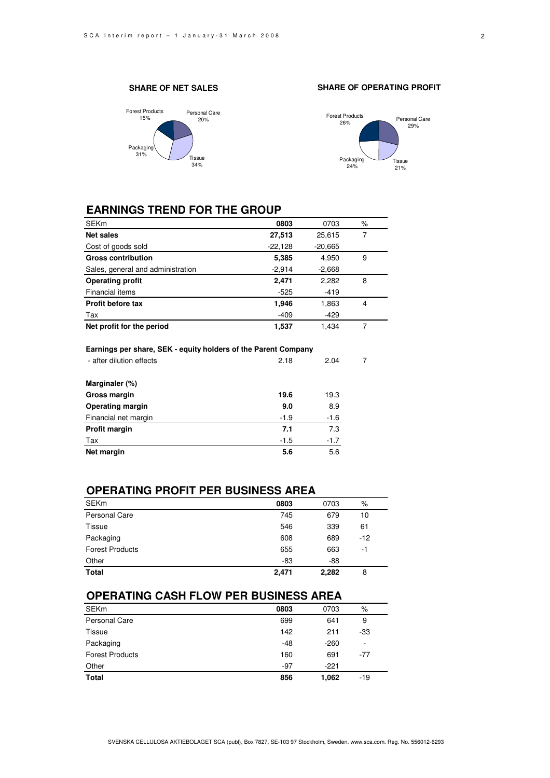#### **SHARE OF NET SALES**







### **EARNINGS TREND FOR THE GROUP**

| <b>SEKm</b>                                                                                | 0803      | 0703      | $\%$           |
|--------------------------------------------------------------------------------------------|-----------|-----------|----------------|
| <b>Net sales</b>                                                                           | 27,513    | 25,615    | 7              |
| Cost of goods sold                                                                         | $-22,128$ | $-20,665$ |                |
| <b>Gross contribution</b>                                                                  | 5,385     | 4,950     | 9              |
| Sales, general and administration                                                          | $-2,914$  | $-2,668$  |                |
| <b>Operating profit</b>                                                                    | 2,471     | 2,282     | 8              |
| Financial items                                                                            | $-525$    | $-419$    |                |
| <b>Profit before tax</b>                                                                   | 1,946     | 1,863     | 4              |
| Tax                                                                                        | $-409$    | $-429$    |                |
| Net profit for the period                                                                  | 1,537     | 1,434     | $\overline{7}$ |
| Earnings per share, SEK - equity holders of the Parent Company<br>- after dilution effects | 2.18      | 2.04      | 7              |
| Marginaler (%)                                                                             |           |           |                |
| Gross margin                                                                               | 19.6      | 19.3      |                |
| <b>Operating margin</b>                                                                    | 9.0       | 8.9       |                |
| Financial net margin                                                                       | $-1.9$    | $-1.6$    |                |
| Profit margin                                                                              | 7.1       | 7.3       |                |
| Tax                                                                                        | $-1.5$    | $-1.7$    |                |
| Net margin                                                                                 | 5.6       | 5.6       |                |
|                                                                                            |           |           |                |

### **OPERATING PROFIT PER BUSINESS AREA**

| <b>SEKm</b>            | 0803  | 0703  | %     |
|------------------------|-------|-------|-------|
| <b>Personal Care</b>   | 745   | 679   | 10    |
| <b>Tissue</b>          | 546   | 339   | 61    |
| Packaging              | 608   | 689   | $-12$ |
| <b>Forest Products</b> | 655   | 663   | -1    |
| Other                  | -83   | $-88$ |       |
| <b>Total</b>           | 2,471 | 2,282 | 8     |

### **OPERATING CASH FLOW PER BUSINESS AREA**

| <b>SEKm</b>            | 0803  | 0703   | %     |
|------------------------|-------|--------|-------|
| Personal Care          | 699   | 641    | 9     |
| <b>Tissue</b>          | 142   | 211    | -33   |
| Packaging              | $-48$ | $-260$ | ۰     |
| <b>Forest Products</b> | 160   | 691    | $-77$ |
| Other                  | $-97$ | $-221$ |       |
| <b>Total</b>           | 856   | 1.062  | -19   |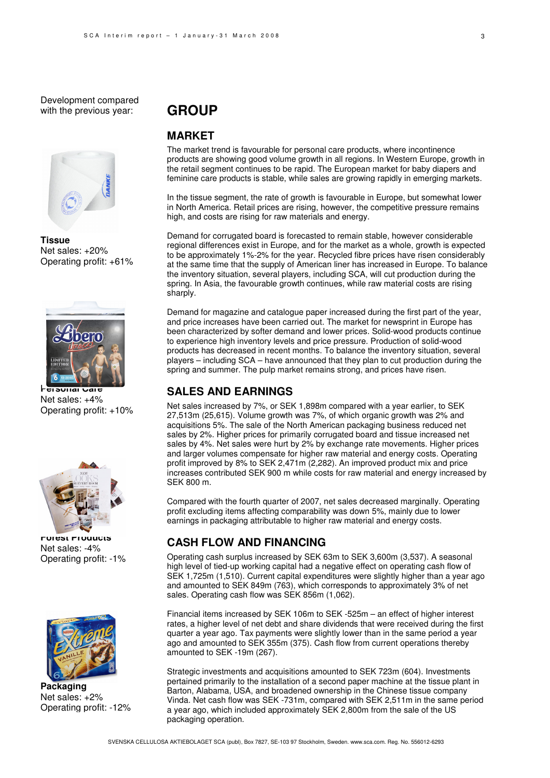Development compared with the previous year:



**Tissue** Net sales: +20% Operating profit: +61%



**Personal Care**  Net sales: +4% Operating profit: +10%



**Forest Products**  Net sales: -4% Operating profit: -1%



**Packaging**  Net sales: +2% Operating profit: -12%

## **GROUP**

### **MARKET**

The market trend is favourable for personal care products, where incontinence products are showing good volume growth in all regions. In Western Europe, growth in the retail segment continues to be rapid. The European market for baby diapers and feminine care products is stable, while sales are growing rapidly in emerging markets.

In the tissue segment, the rate of growth is favourable in Europe, but somewhat lower in North America. Retail prices are rising, however, the competitive pressure remains high, and costs are rising for raw materials and energy.

Demand for corrugated board is forecasted to remain stable, however considerable regional differences exist in Europe, and for the market as a whole, growth is expected to be approximately 1%-2% for the year. Recycled fibre prices have risen considerably at the same time that the supply of American liner has increased in Europe. To balance the inventory situation, several players, including SCA, will cut production during the spring. In Asia, the favourable growth continues, while raw material costs are rising sharply.

Demand for magazine and catalogue paper increased during the first part of the year, and price increases have been carried out. The market for newsprint in Europe has been characterized by softer demand and lower prices. Solid-wood products continue to experience high inventory levels and price pressure. Production of solid-wood products has decreased in recent months. To balance the inventory situation, several players – including SCA – have announced that they plan to cut production during the spring and summer. The pulp market remains strong, and prices have risen.

### **SALES AND EARNINGS**

Net sales increased by 7%, or SEK 1,898m compared with a year earlier, to SEK 27,513m (25,615). Volume growth was 7%, of which organic growth was 2% and acquisitions 5%. The sale of the North American packaging business reduced net sales by 2%. Higher prices for primarily corrugated board and tissue increased net sales by 4%. Net sales were hurt by 2% by exchange rate movements. Higher prices and larger volumes compensate for higher raw material and energy costs. Operating profit improved by 8% to SEK 2,471m (2,282). An improved product mix and price increases contributed SEK 900 m while costs for raw material and energy increased by SEK 800 m.

Compared with the fourth quarter of 2007, net sales decreased marginally. Operating profit excluding items affecting comparability was down 5%, mainly due to lower earnings in packaging attributable to higher raw material and energy costs.

### **CASH FLOW AND FINANCING**

Operating cash surplus increased by SEK 63m to SEK 3,600m (3,537). A seasonal high level of tied-up working capital had a negative effect on operating cash flow of SEK 1,725m (1,510). Current capital expenditures were slightly higher than a year ago and amounted to SEK 849m (763), which corresponds to approximately 3% of net sales. Operating cash flow was SEK 856m (1,062).

Financial items increased by SEK 106m to SEK -525m – an effect of higher interest rates, a higher level of net debt and share dividends that were received during the first quarter a year ago. Tax payments were slightly lower than in the same period a year ago and amounted to SEK 355m (375). Cash flow from current operations thereby amounted to SEK -19m (267).

Strategic investments and acquisitions amounted to SEK 723m (604). Investments pertained primarily to the installation of a second paper machine at the tissue plant in Barton, Alabama, USA, and broadened ownership in the Chinese tissue company Vinda. Net cash flow was SEK -731m, compared with SEK 2,511m in the same period a year ago, which included approximately SEK 2,800m from the sale of the US packaging operation.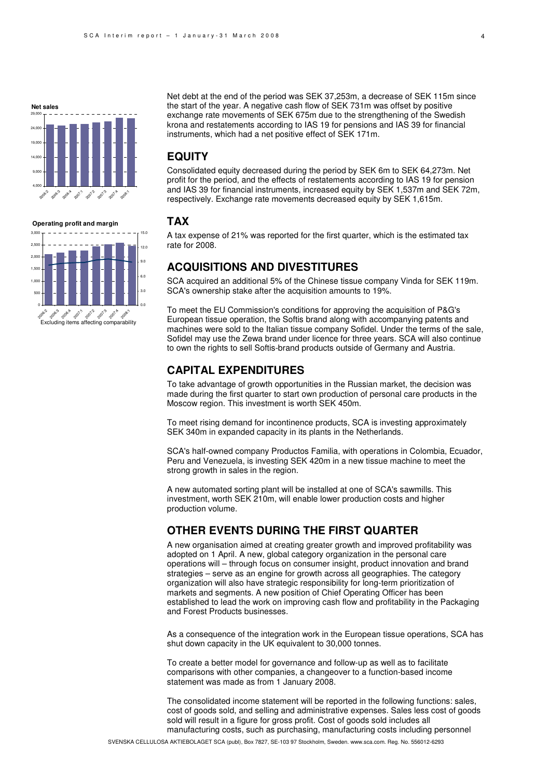

**Operating profit and margin**

500



### **EQUITY**

Consolidated equity decreased during the period by SEK 6m to SEK 64,273m. Net profit for the period, and the effects of restatements according to IAS 19 for pension and IAS 39 for financial instruments, increased equity by SEK 1,537m and SEK 72m, respectively. Exchange rate movements decreased equity by SEK 1,615m.

### **TAX**

0.0 3.0 A tax expense of 21% was reported for the first quarter, which is the estimated tax rate for 2008.

### **ACQUISITIONS AND DIVESTITURES**

SCA acquired an additional 5% of the Chinese tissue company Vinda for SEK 119m. SCA's ownership stake after the acquisition amounts to 19%.

To meet the EU Commission's conditions for approving the acquisition of P&G's European tissue operation, the Softis brand along with accompanying patents and machines were sold to the Italian tissue company Sofidel. Under the terms of the sale, Sofidel may use the Zewa brand under licence for three years. SCA will also continue to own the rights to sell Softis-brand products outside of Germany and Austria.

### **CAPITAL EXPENDITURES**

To take advantage of growth opportunities in the Russian market, the decision was made during the first quarter to start own production of personal care products in the Moscow region. This investment is worth SEK 450m.

To meet rising demand for incontinence products, SCA is investing approximately SEK 340m in expanded capacity in its plants in the Netherlands.

SCA's half-owned company Productos Familia, with operations in Colombia, Ecuador, Peru and Venezuela, is investing SEK 420m in a new tissue machine to meet the strong growth in sales in the region.

A new automated sorting plant will be installed at one of SCA's sawmills. This investment, worth SEK 210m, will enable lower production costs and higher production volume.

### **OTHER EVENTS DURING THE FIRST QUARTER**

A new organisation aimed at creating greater growth and improved profitability was adopted on 1 April. A new, global category organization in the personal care operations will – through focus on consumer insight, product innovation and brand strategies – serve as an engine for growth across all geographies. The category organization will also have strategic responsibility for long-term prioritization of markets and segments. A new position of Chief Operating Officer has been established to lead the work on improving cash flow and profitability in the Packaging and Forest Products businesses.

As a consequence of the integration work in the European tissue operations, SCA has shut down capacity in the UK equivalent to 30,000 tonnes.

To create a better model for governance and follow-up as well as to facilitate comparisons with other companies, a changeover to a function-based income statement was made as from 1 January 2008.

The consolidated income statement will be reported in the following functions: sales, cost of goods sold, and selling and administrative expenses. Sales less cost of goods sold will result in a figure for gross profit. Cost of goods sold includes all manufacturing costs, such as purchasing, manufacturing costs including personnel

1,000 1,50 2,000 2.50 3,000 6.0 9.0  $12.0$ 15.0

0 က<sup>ော်တွင</sup>်း အ<sup>လံု</sup> အပ<sup>်</sup> က<sup>ော်တွင်</sup>းကိ<sup>ု</sup><br>Excluding items affecting comparability 2006:4 2007.3 2007.2 2019 2007.5 2008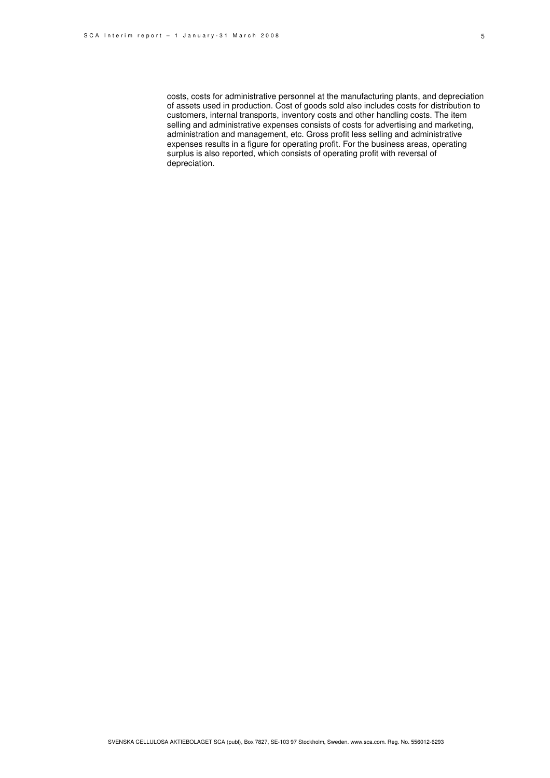costs, costs for administrative personnel at the manufacturing plants, and depreciation of assets used in production. Cost of goods sold also includes costs for distribution to customers, internal transports, inventory costs and other handling costs. The item selling and administrative expenses consists of costs for advertising and marketing, administration and management, etc. Gross profit less selling and administrative expenses results in a figure for operating profit. For the business areas, operating surplus is also reported, which consists of operating profit with reversal of depreciation.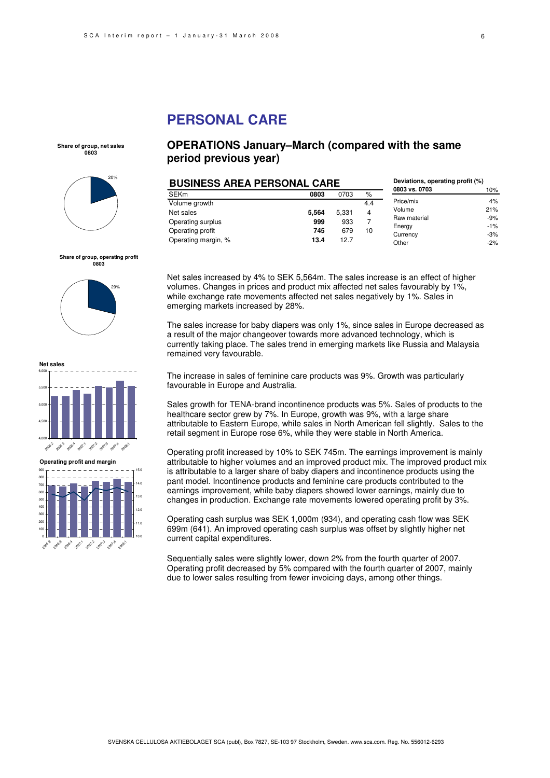### **PERSONAL CARE**

**Share of group, net sales 0803**



#### **Share of group, operating profit 0803**





**Operating profit and margin**



### **OPERATIONS January–March (compared with the same period previous year)**

| <b>BUSINESS AREA PERSONAL CARE</b> |       |       | Deviations, operating profit (%) |               |        |
|------------------------------------|-------|-------|----------------------------------|---------------|--------|
| <b>SEKm</b>                        | 0803  | 0703  | %                                | 0803 vs. 0703 | 10%    |
| Volume growth                      |       |       | 4.4                              | Price/mix     | 4%     |
| Net sales                          | 5.564 | 5,331 | 4                                | Volume        | 21%    |
| Operating surplus                  | 999   | 933   |                                  | Raw material  | $-9%$  |
| Operating profit                   | 745   | 679   | 10                               | Energy        | $-1\%$ |
|                                    |       |       |                                  | Currency      | $-3%$  |
| Operating margin, %                | 13.4  | 12.7  |                                  | Other         | $-2\%$ |

Net sales increased by 4% to SEK 5,564m. The sales increase is an effect of higher volumes. Changes in prices and product mix affected net sales favourably by 1%, while exchange rate movements affected net sales negatively by 1%. Sales in emerging markets increased by 28%.

The sales increase for baby diapers was only 1%, since sales in Europe decreased as a result of the major changeover towards more advanced technology, which is currently taking place. The sales trend in emerging markets like Russia and Malaysia remained very favourable.

The increase in sales of feminine care products was 9%. Growth was particularly favourable in Europe and Australia.

Sales growth for TENA-brand incontinence products was 5%. Sales of products to the healthcare sector grew by 7%. In Europe, growth was 9%, with a large share attributable to Eastern Europe, while sales in North American fell slightly. Sales to the retail segment in Europe rose 6%, while they were stable in North America.

Operating profit increased by 10% to SEK 745m. The earnings improvement is mainly attributable to higher volumes and an improved product mix. The improved product mix is attributable to a larger share of baby diapers and incontinence products using the pant model. Incontinence products and feminine care products contributed to the earnings improvement, while baby diapers showed lower earnings, mainly due to changes in production. Exchange rate movements lowered operating profit by 3%.

Operating cash surplus was SEK 1,000m (934), and operating cash flow was SEK 699m (641). An improved operating cash surplus was offset by slightly higher net current capital expenditures.

Sequentially sales were slightly lower, down 2% from the fourth quarter of 2007. Operating profit decreased by 5% compared with the fourth quarter of 2007, mainly due to lower sales resulting from fewer invoicing days, among other things.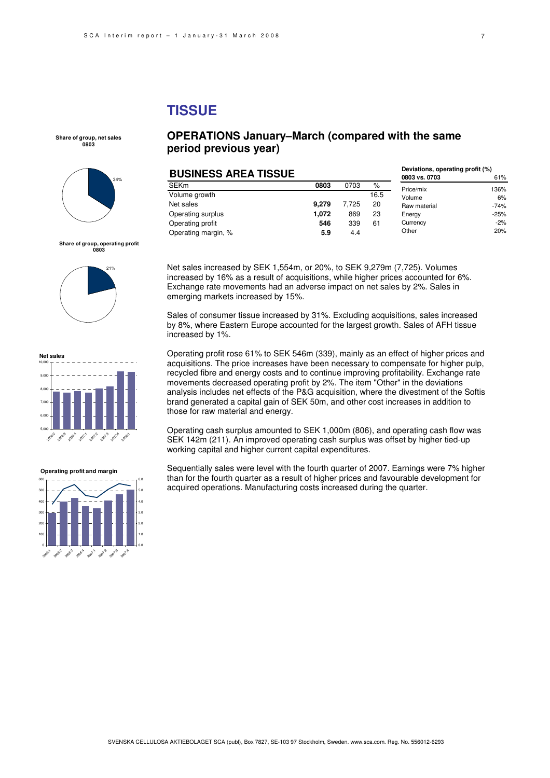## **TISSUE**

**Share of group, net sales 0803**



**Share of group, operating profit 0803**





#### **Operating profit and margin**



### **OPERATIONS January–March (compared with the same period previous year)**

| <b>BUSINESS AREA TISSUE</b> |       |       |      | Deviations, operating profit (%) |        |
|-----------------------------|-------|-------|------|----------------------------------|--------|
|                             |       |       |      | 0803 vs. 0703                    | 61%    |
| <b>SEKm</b>                 | 0803  | 0703  | %    | Price/mix                        | 136%   |
| Volume growth               |       |       | 16.5 | Volume                           | 6%     |
| Net sales                   | 9.279 | 7.725 | 20   | Raw material                     | $-74%$ |
| Operating surplus           | 1.072 | 869   | 23   | Energy                           | $-25%$ |
| Operating profit            | 546   | 339   | 61   | Currency                         | $-2\%$ |
| Operating margin, %         | 5.9   | 4.4   |      | Other                            | 20%    |

Net sales increased by SEK 1,554m, or 20%, to SEK 9,279m (7,725). Volumes increased by 16% as a result of acquisitions, while higher prices accounted for 6%. Exchange rate movements had an adverse impact on net sales by 2%. Sales in emerging markets increased by 15%.

Sales of consumer tissue increased by 31%. Excluding acquisitions, sales increased by 8%, where Eastern Europe accounted for the largest growth. Sales of AFH tissue increased by 1%.

Operating profit rose 61% to SEK 546m (339), mainly as an effect of higher prices and acquisitions. The price increases have been necessary to compensate for higher pulp, recycled fibre and energy costs and to continue improving profitability. Exchange rate movements decreased operating profit by 2%. The item "Other" in the deviations analysis includes net effects of the P&G acquisition, where the divestment of the Softis brand generated a capital gain of SEK 50m, and other cost increases in addition to those for raw material and energy.

Operating cash surplus amounted to SEK 1,000m (806), and operating cash flow was SEK 142m (211). An improved operating cash surplus was offset by higher tied-up working capital and higher current capital expenditures.

Sequentially sales were level with the fourth quarter of 2007. Earnings were 7% higher than for the fourth quarter as a result of higher prices and favourable development for acquired operations. Manufacturing costs increased during the quarter.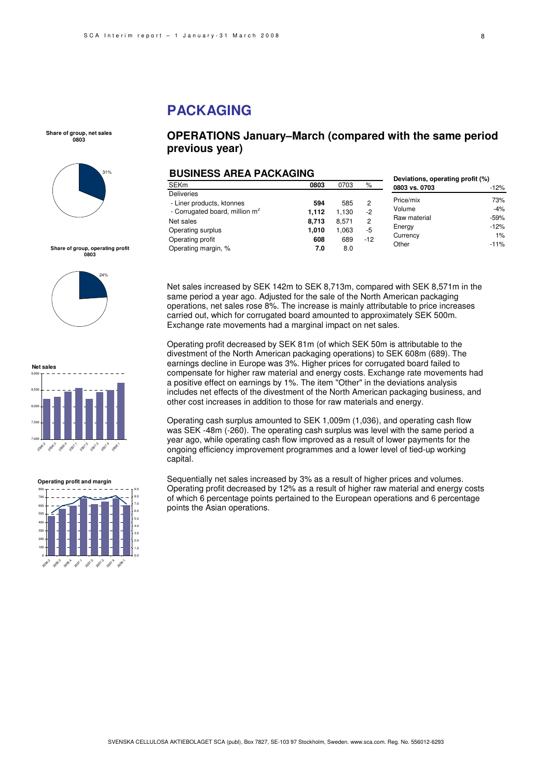## **PACKAGING**

**Share of group, net sales 0803**





**Net sales** 9,000





### **OPERATIONS January–March (compared with the same period previous year)**

### **BUSINESS AREA PACKAGING**

|                                          | P Y YN I NDYS 7 II I NH I 1 I YN I YN II I YM                                                                                                      |                                       |                                     |                                 | Deviations, operating profit (%)                                   |                                                   |
|------------------------------------------|----------------------------------------------------------------------------------------------------------------------------------------------------|---------------------------------------|-------------------------------------|---------------------------------|--------------------------------------------------------------------|---------------------------------------------------|
|                                          | <b>SEKm</b>                                                                                                                                        | 0803                                  | 0703                                | %                               | 0803 vs. 0703                                                      | $-12%$                                            |
|                                          | <b>Deliveries</b><br>- Liner products, ktonnes<br>- Corrugated board, million m <sup>2</sup><br>Net sales<br>Operating surplus<br>Operating profit | 594<br>1.112<br>8,713<br>1.010<br>608 | 585<br>1,130<br>8,571<br>063<br>689 | 2<br>$-2$<br>2<br>$-5$<br>$-12$ | Price/mix<br>Volume<br>Raw material<br>Energy<br>Currency<br>Other | 73%<br>-4%<br>$-59%$<br>$-12%$<br>$1\%$<br>$-11%$ |
| Share of group, operating profit<br>0803 | Operating margin, %                                                                                                                                | 7.0                                   | 8.0                                 |                                 |                                                                    |                                                   |

Net sales increased by SEK 142m to SEK 8,713m, compared with SEK 8,571m in the same period a year ago. Adjusted for the sale of the North American packaging operations, net sales rose 8%. The increase is mainly attributable to price increases carried out, which for corrugated board amounted to approximately SEK 500m. Exchange rate movements had a marginal impact on net sales.

Operating profit decreased by SEK 81m (of which SEK 50m is attributable to the divestment of the North American packaging operations) to SEK 608m (689). The earnings decline in Europe was 3%. Higher prices for corrugated board failed to compensate for higher raw material and energy costs. Exchange rate movements had a positive effect on earnings by 1%. The item "Other" in the deviations analysis includes net effects of the divestment of the North American packaging business, and other cost increases in addition to those for raw materials and energy.

Operating cash surplus amounted to SEK 1,009m (1,036), and operating cash flow was SEK -48m (-260). The operating cash surplus was level with the same period a year ago, while operating cash flow improved as a result of lower payments for the ongoing efficiency improvement programmes and a lower level of tied-up working capital.

Sequentially net sales increased by 3% as a result of higher prices and volumes. Operating profit decreased by 12% as a result of higher raw material and energy costs of which 6 percentage points pertained to the European operations and 6 percentage points the Asian operations.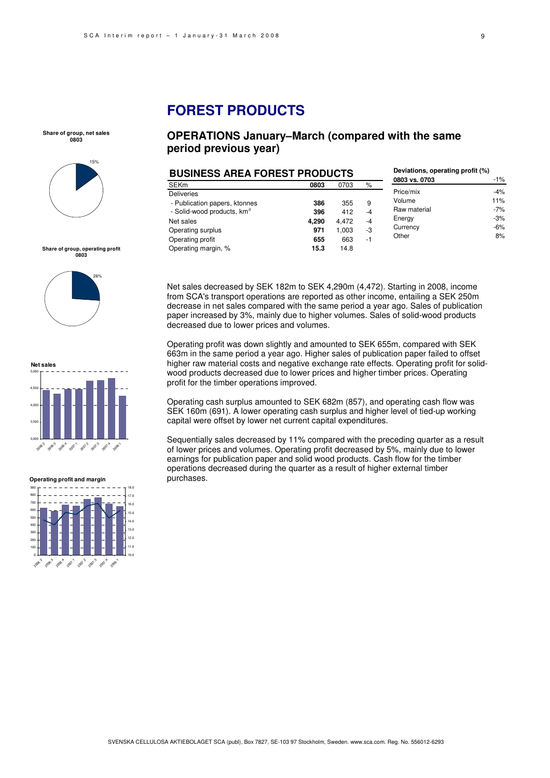## **FOREST PRODUCTS**

**Share of group, net sales 0803**



**Share of group, operating profit 0803**



**Net sales** 3,000 3,500 4,000 4,500 5,000 2003 2006.3 2006.4 2 2007<br>2007<br>2010 2011 200 200:1

**Operating profit and margin**



### **OPERATIONS January–March (compared with the same period previous year)**

| <b>BUSINESS AREA FOREST PRODUCTS</b>   |       |       |      | Deviations, operating profit (%)<br>0803 vs. 0703 | -1%   |
|----------------------------------------|-------|-------|------|---------------------------------------------------|-------|
| <b>SEKm</b>                            | 0803  | 0703  | %    |                                                   |       |
| <b>Deliveries</b>                      |       |       |      | Price/mix                                         | $-4%$ |
| - Publication papers, ktonnes          | 386   | 355   | 9    | Volume                                            | 11%   |
| - Solid-wood products, km <sup>3</sup> | 396   | 412   | $-4$ | Raw material                                      | $-7%$ |
| Net sales                              | 4.290 | 4.472 | $-4$ | Energy                                            | $-3%$ |
| Operating surplus                      | 971   | 1,003 | -3   | Currency                                          | -6%   |
| Operating profit                       | 655   | 663   | $-1$ | Other                                             | 8%    |
| Operating margin, %                    | 15.3  | 14.8  |      |                                                   |       |

Net sales decreased by SEK 182m to SEK 4,290m (4,472). Starting in 2008, income from SCA's transport operations are reported as other income, entailing a SEK 250m decrease in net sales compared with the same period a year ago. Sales of publication paper increased by 3%, mainly due to higher volumes. Sales of solid-wood products decreased due to lower prices and volumes.

Operating profit was down slightly and amounted to SEK 655m, compared with SEK 663m in the same period a year ago. Higher sales of publication paper failed to offset higher raw material costs and negative exchange rate effects. Operating profit for solidwood products decreased due to lower prices and higher timber prices. Operating profit for the timber operations improved.

Operating cash surplus amounted to SEK 682m (857), and operating cash flow was SEK 160m (691). A lower operating cash surplus and higher level of tied-up working capital were offset by lower net current capital expenditures.

Sequentially sales decreased by 11% compared with the preceding quarter as a result of lower prices and volumes. Operating profit decreased by 5%, mainly due to lower earnings for publication paper and solid wood products. Cash flow for the timber operations decreased during the quarter as a result of higher external timber purchases.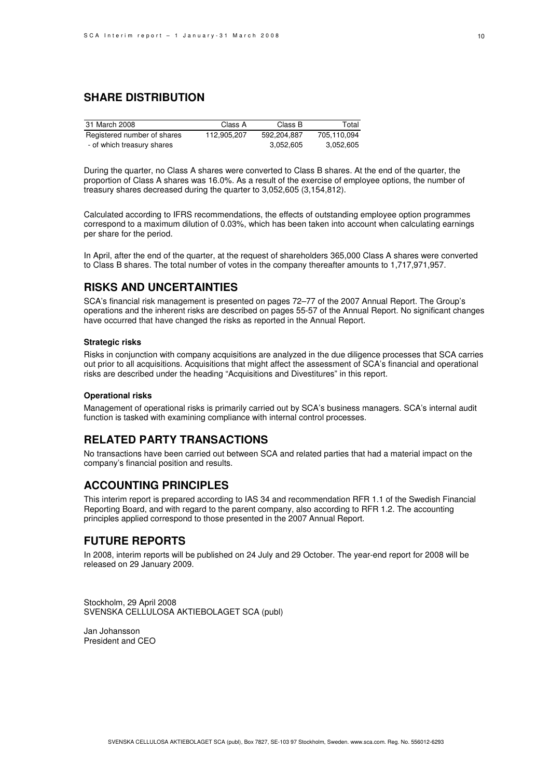### **SHARE DISTRIBUTION**

| 31 March 2008               | Class A     | Class B     | Total       |
|-----------------------------|-------------|-------------|-------------|
| Registered number of shares | 112.905.207 | 592.204.887 | 705.110.094 |
| - of which treasury shares  |             | 3,052,605   | 3,052,605   |

During the quarter, no Class A shares were converted to Class B shares. At the end of the quarter, the proportion of Class A shares was 16.0%. As a result of the exercise of employee options, the number of treasury shares decreased during the quarter to 3,052,605 (3,154,812).

Calculated according to IFRS recommendations, the effects of outstanding employee option programmes correspond to a maximum dilution of 0.03%, which has been taken into account when calculating earnings per share for the period.

In April, after the end of the quarter, at the request of shareholders 365,000 Class A shares were converted to Class B shares. The total number of votes in the company thereafter amounts to 1,717,971,957.

### **RISKS AND UNCERTAINTIES**

SCA's financial risk management is presented on pages 72–77 of the 2007 Annual Report. The Group's operations and the inherent risks are described on pages 55-57 of the Annual Report. No significant changes have occurred that have changed the risks as reported in the Annual Report.

#### **Strategic risks**

Risks in conjunction with company acquisitions are analyzed in the due diligence processes that SCA carries out prior to all acquisitions. Acquisitions that might affect the assessment of SCA's financial and operational risks are described under the heading "Acquisitions and Divestitures" in this report.

#### **Operational risks**

Management of operational risks is primarily carried out by SCA's business managers. SCA's internal audit function is tasked with examining compliance with internal control processes.

### **RELATED PARTY TRANSACTIONS**

No transactions have been carried out between SCA and related parties that had a material impact on the company's financial position and results.

### **ACCOUNTING PRINCIPLES**

This interim report is prepared according to IAS 34 and recommendation RFR 1.1 of the Swedish Financial Reporting Board, and with regard to the parent company, also according to RFR 1.2. The accounting principles applied correspond to those presented in the 2007 Annual Report.

### **FUTURE REPORTS**

In 2008, interim reports will be published on 24 July and 29 October. The year-end report for 2008 will be released on 29 January 2009.

Stockholm, 29 April 2008 SVENSKA CELLULOSA AKTIEBOLAGET SCA (publ)

Jan Johansson President and CEO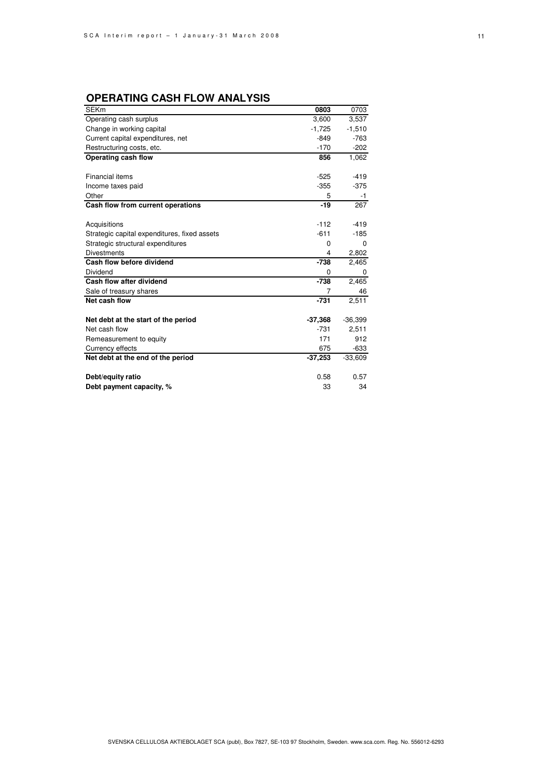## **OPERATING CASH FLOW ANALYSIS**

| <b>SEKm</b>                                  | 0803      | 0703      |
|----------------------------------------------|-----------|-----------|
| Operating cash surplus                       | 3,600     | 3,537     |
| Change in working capital                    | $-1,725$  | $-1,510$  |
| Current capital expenditures, net            | $-849$    | $-763$    |
| Restructuring costs, etc.                    | $-170$    | $-202$    |
| Operating cash flow                          | 856       | 1,062     |
|                                              |           |           |
| <b>Financial items</b>                       | $-525$    | $-419$    |
| Income taxes paid                            | $-355$    | $-375$    |
| Other                                        | 5         | $-1$      |
| Cash flow from current operations            | $-19$     | 267       |
|                                              |           |           |
| Acquisitions                                 | $-112$    | $-419$    |
| Strategic capital expenditures, fixed assets | $-611$    | $-185$    |
| Strategic structural expenditures            | 0         | 0         |
| <b>Divestments</b>                           | 4         | 2,802     |
| Cash flow before dividend                    | $-738$    | 2,465     |
| Dividend                                     | 0         | 0         |
| Cash flow after dividend                     | $-738$    | 2,465     |
| Sale of treasury shares                      | 7         | 46        |
| Net cash flow                                | $-731$    | 2,511     |
|                                              |           |           |
| Net debt at the start of the period          | $-37,368$ | $-36,399$ |
| Net cash flow                                | $-731$    | 2,511     |
| Remeasurement to equity                      | 171       | 912       |
| Currency effects                             | 675       | $-633$    |
| Net debt at the end of the period            | $-37,253$ | $-33,609$ |
|                                              |           |           |
| Debt/equity ratio                            | 0.58      | 0.57      |
| Debt payment capacity, %                     | 33        | 34        |
|                                              |           |           |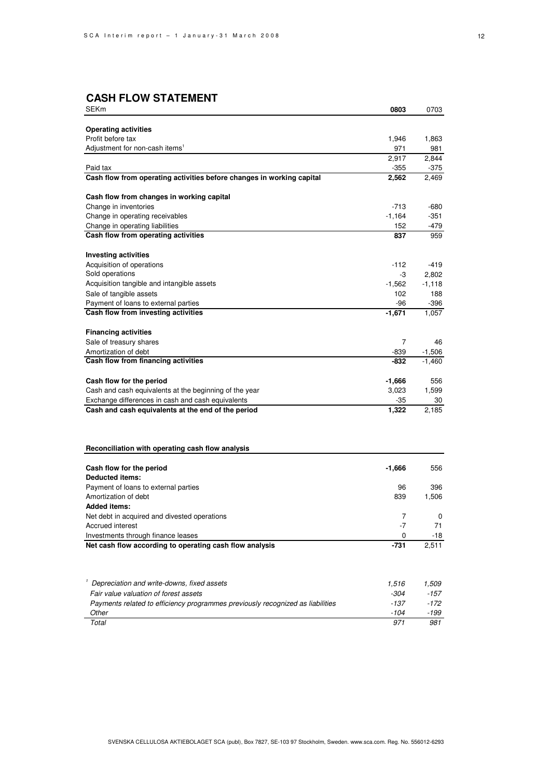### **CASH FLOW STATEMENT**

| SEKm                                                                           | 0803     | 0703     |
|--------------------------------------------------------------------------------|----------|----------|
|                                                                                |          |          |
| <b>Operating activities</b>                                                    |          |          |
| Profit before tax                                                              | 1,946    | 1,863    |
| Adjustment for non-cash items <sup>1</sup>                                     | 971      | 981      |
|                                                                                | 2,917    | 2,844    |
| Paid tax                                                                       | $-355$   | $-375$   |
| Cash flow from operating activities before changes in working capital          | 2,562    | 2,469    |
| Cash flow from changes in working capital                                      |          |          |
| Change in inventories                                                          | $-713$   | -680     |
| Change in operating receivables                                                | $-1,164$ | -351     |
| Change in operating liabilities                                                | 152      | -479     |
| Cash flow from operating activities                                            | 837      | 959      |
| <b>Investing activities</b>                                                    |          |          |
| Acquisition of operations                                                      | $-112$   | -419     |
| Sold operations                                                                | -3       | 2,802    |
| Acquisition tangible and intangible assets                                     | $-1,562$ | $-1,118$ |
| Sale of tangible assets                                                        | 102      | 188      |
| Payment of loans to external parties                                           | -96      | $-396$   |
| Cash flow from investing activities                                            | $-1,671$ | 1,057    |
|                                                                                |          |          |
| <b>Financing activities</b>                                                    |          |          |
| Sale of treasury shares                                                        | 7        | 46       |
| Amortization of debt                                                           | -839     | $-1,506$ |
| Cash flow from financing activities                                            | -832     | $-1,460$ |
| Cash flow for the period                                                       | -1,666   | 556      |
| Cash and cash equivalents at the beginning of the year                         | 3,023    | 1,599    |
| Exchange differences in cash and cash equivalents                              | $-35$    | 30       |
| Cash and cash equivalents at the end of the period                             | 1,322    | 2,185    |
|                                                                                |          |          |
| Reconciliation with operating cash flow analysis                               |          |          |
| Cash flow for the period                                                       | -1,666   | 556      |
| <b>Deducted items:</b>                                                         |          |          |
| Payment of loans to external parties                                           | 96       | 396      |
| Amortization of debt                                                           | 839      | 1,506    |
| <b>Added items:</b>                                                            |          |          |
| Net debt in acquired and divested operations                                   | 7        | 0        |
| Accrued interest                                                               | -7       | 71       |
| Investments through finance leases                                             | 0        | -18      |
| Net cash flow according to operating cash flow analysis                        | $-731$   | 2,511    |
|                                                                                |          |          |
| Depreciation and write-downs, fixed assets                                     | 1,516    | 1,509    |
| Fair value valuation of forest assets                                          | -304     | -157     |
| Payments related to efficiency programmes previously recognized as liabilities | $-137$   | $-172$   |
| Other                                                                          | -104     | -199     |
| Total                                                                          | 971      | 981      |
|                                                                                |          |          |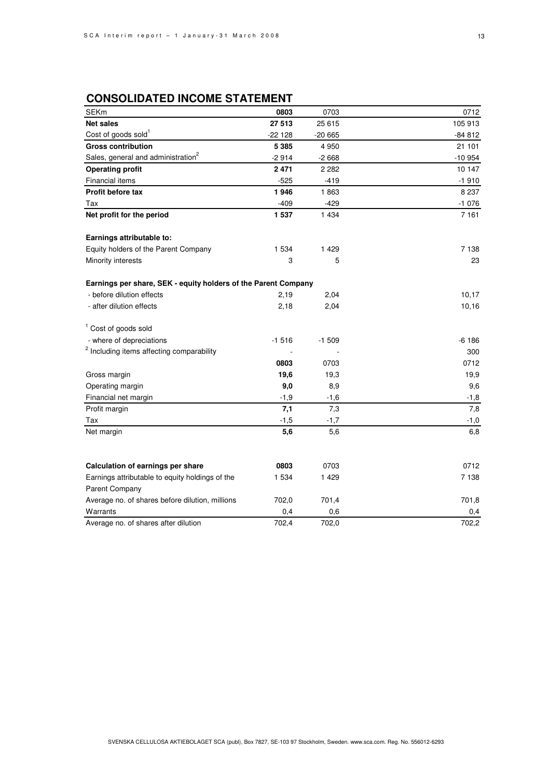## **CONSOLIDATED INCOME STATEMENT**

| <b>SEKm</b>                                                    | 0803    | 0703     | 0712     |
|----------------------------------------------------------------|---------|----------|----------|
| <b>Net sales</b>                                               | 27 513  | 25 615   | 105 913  |
| Cost of goods sold <sup>1</sup>                                | -22 128 | $-20665$ | -84 812  |
| <b>Gross contribution</b>                                      | 5 3 8 5 | 4 9 5 0  | 21 101   |
| Sales, general and administration <sup>2</sup>                 | $-2914$ | $-2668$  | $-10954$ |
| <b>Operating profit</b>                                        | 2471    | 2 2 8 2  | 10 147   |
| Financial items                                                | $-525$  | $-419$   | $-1910$  |
| Profit before tax                                              | 1946    | 1863     | 8 2 3 7  |
| Tax                                                            | $-409$  | $-429$   | $-1076$  |
| Net profit for the period                                      | 1 537   | 1 4 3 4  | 7 1 6 1  |
| Earnings attributable to:                                      |         |          |          |
| Equity holders of the Parent Company                           | 1 5 3 4 | 1 4 2 9  | 7 1 3 8  |
| Minority interests                                             | 3       | 5        | 23       |
| Earnings per share, SEK - equity holders of the Parent Company |         |          |          |
| - before dilution effects                                      | 2,19    | 2,04     | 10,17    |
| - after dilution effects                                       | 2,18    | 2,04     | 10,16    |
| <sup>1</sup> Cost of goods sold                                |         |          |          |
| - where of depreciations                                       | $-1516$ | $-1509$  | $-6186$  |
| <sup>2</sup> Including items affecting comparability           |         |          | 300      |
|                                                                | 0803    | 0703     | 0712     |
| Gross margin                                                   | 19,6    | 19,3     | 19,9     |
| Operating margin                                               | 9,0     | 8,9      | 9,6      |
| Financial net margin                                           | $-1,9$  | $-1,6$   | $-1,8$   |
| Profit margin                                                  | 7,1     | 7,3      | 7,8      |
| Tax                                                            | $-1,5$  | $-1,7$   | $-1,0$   |
| Net margin                                                     | 5,6     | 5,6      | 6,8      |
|                                                                |         |          |          |
| Calculation of earnings per share                              | 0803    | 0703     | 0712     |
| Earnings attributable to equity holdings of the                | 1 534   | 1 4 2 9  | 7 1 3 8  |
| Parent Company                                                 |         |          |          |
| Average no. of shares before dilution, millions                | 702,0   | 701.4    | 701,8    |
| Warrants                                                       | 0,4     | 0,6      | 0,4      |
| Average no. of shares after dilution                           | 702,4   | 702,0    | 702,2    |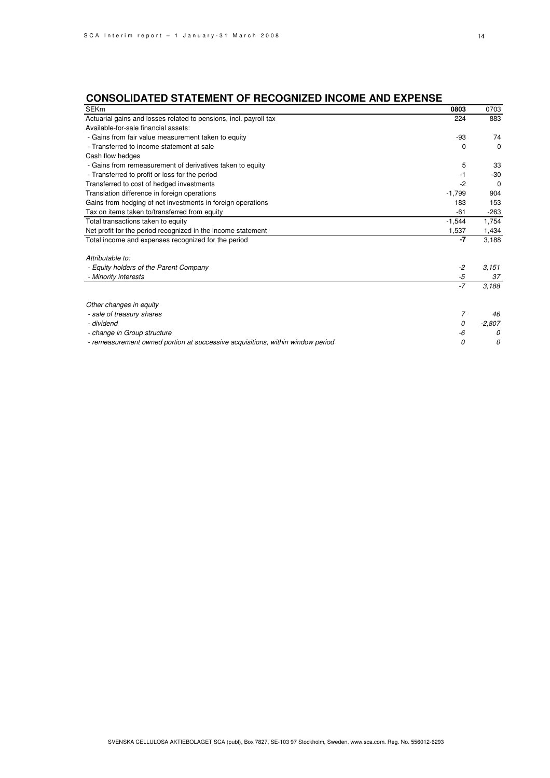## **CONSOLIDATED STATEMENT OF RECOGNIZED INCOME AND EXPENSE**

| <b>SEKm</b>                                                                    | 0803     | 0703     |
|--------------------------------------------------------------------------------|----------|----------|
| Actuarial gains and losses related to pensions, incl. payroll tax              | 224      | 883      |
| Available-for-sale financial assets:                                           |          |          |
| - Gains from fair value measurement taken to equity                            | -93      | 74       |
| - Transferred to income statement at sale                                      | 0        | $\Omega$ |
| Cash flow hedges                                                               |          |          |
| - Gains from remeasurement of derivatives taken to equity                      | 5        | 33       |
| - Transferred to profit or loss for the period                                 | $-1$     | $-30$    |
| Transferred to cost of hedged investments                                      | $-2$     | $\Omega$ |
| Translation difference in foreign operations                                   | $-1,799$ | 904      |
| Gains from hedging of net investments in foreign operations                    | 183      | 153      |
| Tax on items taken to/transferred from equity                                  | $-61$    | $-263$   |
| Total transactions taken to equity                                             | $-1.544$ | 1,754    |
| Net profit for the period recognized in the income statement                   | 1,537    | 1,434    |
| Total income and expenses recognized for the period                            | $-7$     | 3,188    |
| Attributable to:                                                               |          |          |
| - Equity holders of the Parent Company                                         | $-2$     | 3,151    |
| - Minority interests                                                           | -5       | 37       |
|                                                                                | $-7$     | 3,188    |
| Other changes in equity                                                        |          |          |
| - sale of treasury shares                                                      | 7        | 46       |
| - dividend                                                                     | 0        | $-2,807$ |
|                                                                                | -6       | 0        |
| - change in Group structure                                                    | 0        | 0        |
| - remeasurement owned portion at successive acquisitions, within window period |          |          |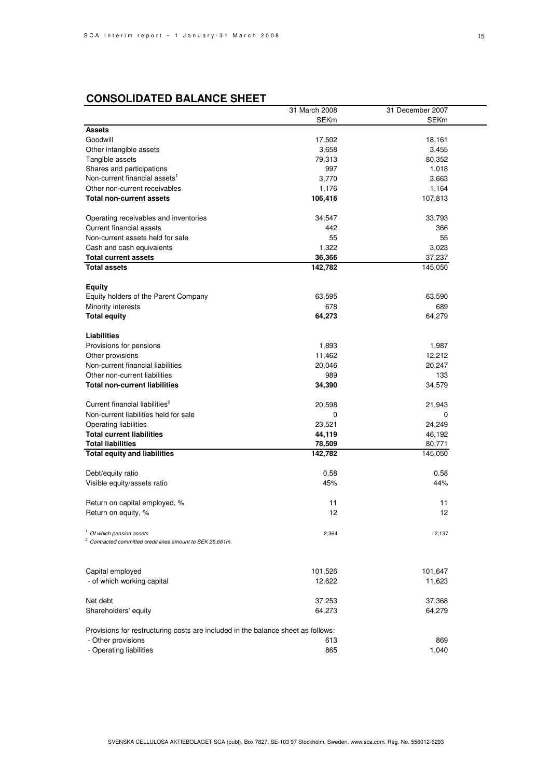|                                                                                  | 31 March 2008 | 31 December 2007 |
|----------------------------------------------------------------------------------|---------------|------------------|
|                                                                                  | <b>SEKm</b>   | <b>SEKm</b>      |
| <b>Assets</b>                                                                    |               |                  |
| Goodwill                                                                         | 17,502        | 18,161           |
| Other intangible assets                                                          | 3,658         | 3,455            |
| Tangible assets                                                                  | 79,313        | 80,352           |
| Shares and participations                                                        | 997           | 1,018            |
| Non-current financial assets <sup>1</sup>                                        | 3,770         | 3,663            |
| Other non-current receivables                                                    | 1,176         | 1,164            |
| <b>Total non-current assets</b>                                                  | 106,416       | 107,813          |
|                                                                                  |               |                  |
| Operating receivables and inventories                                            | 34,547        | 33,793           |
| Current financial assets                                                         | 442           | 366              |
| Non-current assets held for sale                                                 | 55            | 55               |
| Cash and cash equivalents                                                        | 1,322         | 3,023            |
| <b>Total current assets</b>                                                      | 36,366        | 37,237           |
| <b>Total assets</b>                                                              | 142,782       | 145,050          |
|                                                                                  |               |                  |
| <b>Equity</b>                                                                    |               |                  |
| Equity holders of the Parent Company                                             | 63,595        | 63,590           |
| Minority interests                                                               | 678           | 689              |
| <b>Total equity</b>                                                              | 64,273        | 64,279           |
|                                                                                  |               |                  |
| Liabilities                                                                      |               |                  |
| Provisions for pensions                                                          | 1,893         | 1,987            |
| Other provisions                                                                 | 11,462        | 12,212           |
| Non-current financial liabilities                                                | 20,046        | 20,247           |
| Other non-current liabilities                                                    | 989           | 133              |
| <b>Total non-current liabilities</b>                                             | 34,390        | 34,579           |
|                                                                                  |               |                  |
| Current financial liabilities <sup>2</sup>                                       | 20,598        | 21,943           |
| Non-current liabilities held for sale                                            | 0             | 0                |
| Operating liabilities                                                            | 23,521        | 24,249           |
| <b>Total current liabilities</b>                                                 | 44,119        | 46,192           |
| <b>Total liabilities</b>                                                         | 78,509        | 80,771           |
| <b>Total equity and liabilities</b>                                              | 142,782       | 145,050          |
|                                                                                  |               |                  |
| Debt/equity ratio                                                                | 0.58          | 0.58             |
| Visible equity/assets ratio                                                      | 45%           | 44%              |
|                                                                                  |               |                  |
| Return on capital employed, %                                                    | 11            | 11               |
| Return on equity, %                                                              | 12            | 12               |
|                                                                                  |               |                  |
| <sup>1</sup> Of which pension assets                                             | 2,364         | 2,137            |
| <sup>2</sup> Contracted committed credit lines amount to SEK 25,661m.            |               |                  |
|                                                                                  |               |                  |
|                                                                                  |               |                  |
| Capital employed                                                                 | 101,526       | 101,647          |
| - of which working capital                                                       | 12,622        | 11,623           |
|                                                                                  |               |                  |
| Net debt                                                                         | 37,253        | 37,368           |
| Shareholders' equity                                                             | 64,273        | 64,279           |
|                                                                                  |               |                  |
| Provisions for restructuring costs are included in the balance sheet as follows: |               |                  |
| - Other provisions                                                               | 613           | 869              |
| - Operating liabilities                                                          | 865           | 1,040            |
|                                                                                  |               |                  |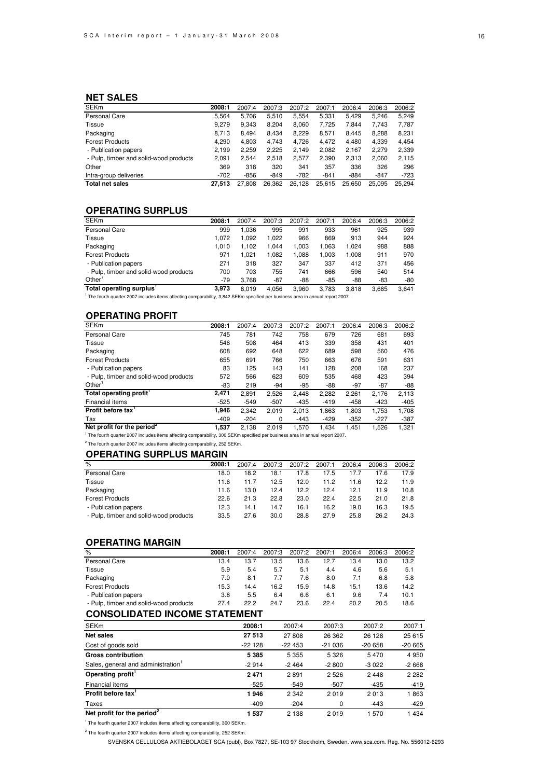#### **NET SALES**

| <b>SEKm</b>                            | 2008:1 | 2007:4 | 2007:3 | 2007:2 | 2007:1 | 2006:4 | 2006:3 | 2006:2 |
|----------------------------------------|--------|--------|--------|--------|--------|--------|--------|--------|
| Personal Care                          | 5.564  | 5.706  | 5.510  | 5.554  | 5.331  | 5.429  | 5.246  | 5.249  |
| Tissue                                 | 9.279  | 9,343  | 8,204  | 8,060  | 7,725  | 7.844  | 7.743  | 7,787  |
| Packaging                              | 8.713  | 8.494  | 8.434  | 8.229  | 8.571  | 8.445  | 8.288  | 8,231  |
| <b>Forest Products</b>                 | 4.290  | 4,803  | 4.743  | 4.726  | 4.472  | 4,480  | 4,339  | 4,454  |
| - Publication papers                   | 2,199  | 2.259  | 2.225  | 2.149  | 2,082  | 2,167  | 2,279  | 2,339  |
| - Pulp, timber and solid-wood products | 2.091  | 2.544  | 2.518  | 2.577  | 2,390  | 2.313  | 2,060  | 2,115  |
| Other                                  | 369    | 318    | 320    | 341    | 357    | 336    | 326    | 296    |
| Intra-group deliveries                 | $-702$ | $-856$ | $-849$ | $-782$ | $-841$ | $-884$ | $-847$ | $-723$ |
| <b>Total net sales</b>                 | 27.513 | 27.808 | 26.362 | 26.128 | 25.615 | 25.650 | 25.095 | 25.294 |

#### **OPERATING SURPLUS**

| <b>SEKm</b>                                                                                                                                | 2008:1 | 2007:4 | 2007:3 | 2007:2 | 2007:1 | 2006:4 | 2006:3 | 2006:2 |
|--------------------------------------------------------------------------------------------------------------------------------------------|--------|--------|--------|--------|--------|--------|--------|--------|
| Personal Care                                                                                                                              | 999    | 1.036  | 995    | 991    | 933    | 961    | 925    | 939    |
| Tissue                                                                                                                                     | 1.072  | 1.092  | 1.022  | 966    | 869    | 913    | 944    | 924    |
| Packaging                                                                                                                                  | 1.010  | 1.102  | 1.044  | 1.003  | .063   | 1.024  | 988    | 888    |
| <b>Forest Products</b>                                                                                                                     | 971    | 1.021  | 1.082  | 1,088  | 1.003  | 1,008  | 911    | 970    |
| - Publication papers                                                                                                                       | 271    | 318    | 327    | 347    | 337    | 412    | 371    | 456    |
| - Pulp, timber and solid-wood products                                                                                                     | 700    | 703    | 755    | 741    | 666    | 596    | 540    | 514    |
| Other <sup>'</sup>                                                                                                                         | $-79$  | 3.768  | $-87$  | -88    | -85    | -88    | -83    | -80    |
| Total operating surplus'                                                                                                                   | 3.973  | 8.019  | 4.056  | 3.960  | 3.783  | 3.818  | 3.685  | 3.641  |
| <sup>1</sup> The fourth quarter 2007 includes items affecting comparability, 3,842 SEKm specified per business area in annual report 2007. |        |        |        |        |        |        |        |        |

#### **OPERATING PROFIT**

| <b>SEKm</b>                            | 2008:1 | 2007:4 | 2007:3 | 2007:2 | 2007:1 | 2006:4 | 2006:3 | 2006:2 |
|----------------------------------------|--------|--------|--------|--------|--------|--------|--------|--------|
| Personal Care                          | 745    | 781    | 742    | 758    | 679    | 726    | 681    | 693    |
| Tissue                                 | 546    | 508    | 464    | 413    | 339    | 358    | 431    | 401    |
| Packaging                              | 608    | 692    | 648    | 622    | 689    | 598    | 560    | 476    |
| <b>Forest Products</b>                 | 655    | 691    | 766    | 750    | 663    | 676    | 591    | 631    |
| - Publication papers                   | 83     | 125    | 143    | 141    | 128    | 208    | 168    | 237    |
| - Pulp, timber and solid-wood products | 572    | 566    | 623    | 609    | 535    | 468    | 423    | 394    |
| Other <sup>'</sup>                     | -83    | 219    | $-94$  | $-95$  | -88    | $-97$  | $-87$  | $-88$  |
| Total operating profit <sup>1</sup>    | 2,471  | 2.891  | 2,526  | 2.448  | 2,282  | 2,261  | 2.176  | 2,113  |
| Financial items                        | $-525$ | $-549$ | $-507$ | $-435$ | $-419$ | $-458$ | $-423$ | $-405$ |
| Profit before tax <sup>1</sup>         | 1.946  | 2.342  | 2.019  | 2.013  | 1,863  | 1.803  | 1.753  | 1,708  |
| Tax                                    | $-409$ | $-204$ | 0      | $-443$ | $-429$ | $-352$ | $-227$ | $-387$ |
| Net profit for the period <sup>2</sup> | 1.537  | 2.138  | 2.019  | 1.570  | 1.434  | 1.451  | 1.526  | 1.321  |

1 The fourth quarter 2007 includes items affecting comparability, 300 SEKm specified per business area in annual report 2007.

<sup>2</sup> The fourth quarter 2007 includes items affecting comparability, 252 SEKm.

#### **OPERATING SURPLUS MARGIN**

| $\%$                                   | 2008:1 | 2007:4 | 2007:3 | 2007:2 | 2007:1 | 2006:4 | 2006:3 | 2006:2 |
|----------------------------------------|--------|--------|--------|--------|--------|--------|--------|--------|
| Personal Care                          | 18.0   | 18.2   | 18.1   | 17.8   | 17.5   | 7.7    | 17.6   | 17.9   |
| Tissue                                 | 11.6   | 11.7   | 12.5   | 12.0   | 11.2   | 1.6    | 12.2   | 11.9   |
| Packaging                              | 11.6   | 13.0   | 12.4   | 12.2   | 12.4   | 12.1   | 119    | 10.8   |
| <b>Forest Products</b>                 | 22.6   | 21.3   | 22.8   | 23.0   | 22.4   | 22.5   | 21.0   | 21.8   |
| - Publication papers                   | 12.3   | 14.1   | 14.7   | 16.1   | 16.2   | 19.0   | 16.3   | 19.5   |
| - Pulp, timber and solid-wood products | 33.5   | 27.6   | 30.0   | 28.8   | 27.9   | 25.8   | 26.2   | 24.3   |

#### **OPERATING MARGIN**

| $\%$                                   | 2008:1 | 2007:4 | 2007:3 | 2007:2 | 2007:1 | 2006:4 | 2006:3 | 2006:2 |
|----------------------------------------|--------|--------|--------|--------|--------|--------|--------|--------|
| Personal Care                          | 13.4   | 13.7   | 13.5   | 13.6   | 12.7   | 13.4   | 13.0   | 13.2   |
| Tissue                                 | 5.9    | 5.4    | 5.7    | 5.1    | 4.4    | 4.6    | 5.6    | 5.1    |
| Packaging                              | 7.0    | 8.1    | 7.7    | 7.6    | 8.0    | 7.1    | 6.8    | 5.8    |
| <b>Forest Products</b>                 | 15.3   | 14.4   | 16.2   | 15.9   | 14.8   | 15.1   | 13.6   | 14.2   |
| - Publication papers                   | 3.8    | 5.5    | 6.4    | 6.6    | 6.1    | 9.6    | 7.4    | 10.1   |
| - Pulp, timber and solid-wood products | 27.4   | 22.2   | 24.7   | 23.6   | 22.4   | 20.2   | 20.5   | 18.6   |

### **CONSOLIDATED INCOME STATEMENT**

| <b>SEKm</b>                            | 2008:1   | 2007:4   | 2007:3   | 2007:2   | 2007:1   |
|----------------------------------------|----------|----------|----------|----------|----------|
| <b>Net sales</b>                       | 27 513   | 27 808   | 26 362   | 26 128   | 25 615   |
| Cost of goods sold                     | $-22128$ | $-22453$ | $-21036$ | $-20658$ | $-20665$ |
| <b>Gross contribution</b>              | 5 3 8 5  | 5 3 5 5  | 5 3 2 6  | 5470     | 4 9 5 0  |
| Sales, general and administration      | $-2914$  | $-2464$  | $-2800$  | $-3022$  | $-2668$  |
| Operating profit <sup>1</sup>          | 2471     | 2891     | 2 5 2 6  | 2448     | 2 2 8 2  |
| Financial items                        | $-525$   | $-549$   | $-507$   | $-435$   | $-419$   |
| Profit before tax <sup>1</sup>         | 1946     | 2 3 4 2  | 2019     | 2013     | 1863     |
| Taxes                                  | $-409$   | $-204$   | 0        | $-443$   | $-429$   |
| Net profit for the period <sup>2</sup> | 1537     | 2 1 3 8  | 2019     | 1 570    | 1434     |

<sup>1</sup> The fourth quarter 2007 includes items affecting comparability, 300 SEKm.

<sup>2</sup> The fourth quarter 2007 includes items affecting comparability, 252 SEKm.

SVENSKA CELLULOSA AKTIEBOLAGET SCA (publ), Box 7827, SE-103 97 Stockholm, Sweden. www.sca.com. Reg. No. 556012-6293